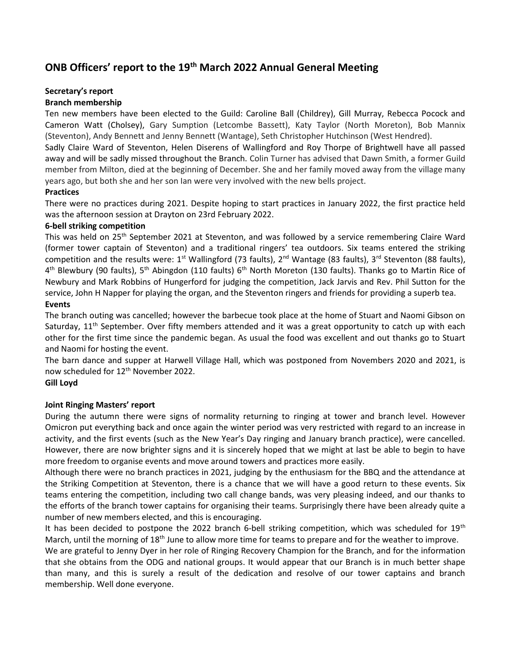# ONB Officers' report to the 19<sup>th</sup> March 2022 Annual General Meeting

# Secretary's report

# Branch membership

Ten new members have been elected to the Guild: Caroline Ball (Childrey), Gill Murray, Rebecca Pocock and Cameron Watt (Cholsey), Gary Sumption (Letcombe Bassett), Katy Taylor (North Moreton), Bob Mannix (Steventon), Andy Bennett and Jenny Bennett (Wantage), Seth Christopher Hutchinson (West Hendred).

Sadly Claire Ward of Steventon, Helen Diserens of Wallingford and Roy Thorpe of Brightwell have all passed away and will be sadly missed throughout the Branch. Colin Turner has advised that Dawn Smith, a former Guild member from Milton, died at the beginning of December. She and her family moved away from the village many years ago, but both she and her son Ian were very involved with the new bells project.

# Practices

There were no practices during 2021. Despite hoping to start practices in January 2022, the first practice held was the afternoon session at Drayton on 23rd February 2022.

# 6-bell striking competition

This was held on 25<sup>th</sup> September 2021 at Steventon, and was followed by a service remembering Claire Ward (former tower captain of Steventon) and a traditional ringers' tea outdoors. Six teams entered the striking competition and the results were: 1<sup>st</sup> Wallingford (73 faults), 2<sup>nd</sup> Wantage (83 faults), 3<sup>rd</sup> Steventon (88 faults), 4<sup>th</sup> Blewbury (90 faults), 5<sup>th</sup> Abingdon (110 faults) 6<sup>th</sup> North Moreton (130 faults). Thanks go to Martin Rice of Newbury and Mark Robbins of Hungerford for judging the competition, Jack Jarvis and Rev. Phil Sutton for the service, John H Napper for playing the organ, and the Steventon ringers and friends for providing a superb tea. Events

The branch outing was cancelled; however the barbecue took place at the home of Stuart and Naomi Gibson on Saturday,  $11<sup>th</sup>$  September. Over fifty members attended and it was a great opportunity to catch up with each other for the first time since the pandemic began. As usual the food was excellent and out thanks go to Stuart and Naomi for hosting the event.

The barn dance and supper at Harwell Village Hall, which was postponed from Novembers 2020 and 2021, is now scheduled for 12<sup>th</sup> November 2022.

# Gill Loyd

# Joint Ringing Masters' report

During the autumn there were signs of normality returning to ringing at tower and branch level. However Omicron put everything back and once again the winter period was very restricted with regard to an increase in activity, and the first events (such as the New Year's Day ringing and January branch practice), were cancelled. However, there are now brighter signs and it is sincerely hoped that we might at last be able to begin to have more freedom to organise events and move around towers and practices more easily.

Although there were no branch practices in 2021, judging by the enthusiasm for the BBQ and the attendance at the Striking Competition at Steventon, there is a chance that we will have a good return to these events. Six teams entering the competition, including two call change bands, was very pleasing indeed, and our thanks to the efforts of the branch tower captains for organising their teams. Surprisingly there have been already quite a number of new members elected, and this is encouraging.

It has been decided to postpone the 2022 branch 6-bell striking competition, which was scheduled for 19<sup>th</sup> March, until the morning of 18<sup>th</sup> June to allow more time for teams to prepare and for the weather to improve.

We are grateful to Jenny Dyer in her role of Ringing Recovery Champion for the Branch, and for the information that she obtains from the ODG and national groups. It would appear that our Branch is in much better shape than many, and this is surely a result of the dedication and resolve of our tower captains and branch membership. Well done everyone.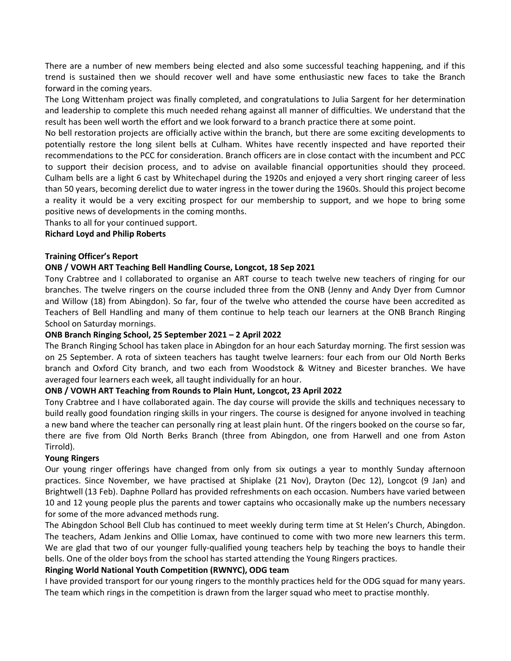There are a number of new members being elected and also some successful teaching happening, and if this trend is sustained then we should recover well and have some enthusiastic new faces to take the Branch forward in the coming years.

The Long Wittenham project was finally completed, and congratulations to Julia Sargent for her determination and leadership to complete this much needed rehang against all manner of difficulties. We understand that the result has been well worth the effort and we look forward to a branch practice there at some point.

No bell restoration projects are officially active within the branch, but there are some exciting developments to potentially restore the long silent bells at Culham. Whites have recently inspected and have reported their recommendations to the PCC for consideration. Branch officers are in close contact with the incumbent and PCC to support their decision process, and to advise on available financial opportunities should they proceed. Culham bells are a light 6 cast by Whitechapel during the 1920s and enjoyed a very short ringing career of less than 50 years, becoming derelict due to water ingress in the tower during the 1960s. Should this project become a reality it would be a very exciting prospect for our membership to support, and we hope to bring some positive news of developments in the coming months.

Thanks to all for your continued support.

### Richard Loyd and Philip Roberts

### Training Officer's Report

### ONB / VOWH ART Teaching Bell Handling Course, Longcot, 18 Sep 2021

Tony Crabtree and I collaborated to organise an ART course to teach twelve new teachers of ringing for our branches. The twelve ringers on the course included three from the ONB (Jenny and Andy Dyer from Cumnor and Willow (18) from Abingdon). So far, four of the twelve who attended the course have been accredited as Teachers of Bell Handling and many of them continue to help teach our learners at the ONB Branch Ringing School on Saturday mornings.

#### ONB Branch Ringing School, 25 September 2021 – 2 April 2022

The Branch Ringing School has taken place in Abingdon for an hour each Saturday morning. The first session was on 25 September. A rota of sixteen teachers has taught twelve learners: four each from our Old North Berks branch and Oxford City branch, and two each from Woodstock & Witney and Bicester branches. We have averaged four learners each week, all taught individually for an hour.

#### ONB / VOWH ART Teaching from Rounds to Plain Hunt, Longcot, 23 April 2022

Tony Crabtree and I have collaborated again. The day course will provide the skills and techniques necessary to build really good foundation ringing skills in your ringers. The course is designed for anyone involved in teaching a new band where the teacher can personally ring at least plain hunt. Of the ringers booked on the course so far, there are five from Old North Berks Branch (three from Abingdon, one from Harwell and one from Aston Tirrold).

# Young Ringers

Our young ringer offerings have changed from only from six outings a year to monthly Sunday afternoon practices. Since November, we have practised at Shiplake (21 Nov), Drayton (Dec 12), Longcot (9 Jan) and Brightwell (13 Feb). Daphne Pollard has provided refreshments on each occasion. Numbers have varied between 10 and 12 young people plus the parents and tower captains who occasionally make up the numbers necessary for some of the more advanced methods rung.

The Abingdon School Bell Club has continued to meet weekly during term time at St Helen's Church, Abingdon. The teachers, Adam Jenkins and Ollie Lomax, have continued to come with two more new learners this term. We are glad that two of our younger fully-qualified young teachers help by teaching the boys to handle their bells. One of the older boys from the school has started attending the Young Ringers practices.

# Ringing World National Youth Competition (RWNYC), ODG team

I have provided transport for our young ringers to the monthly practices held for the ODG squad for many years. The team which rings in the competition is drawn from the larger squad who meet to practise monthly.